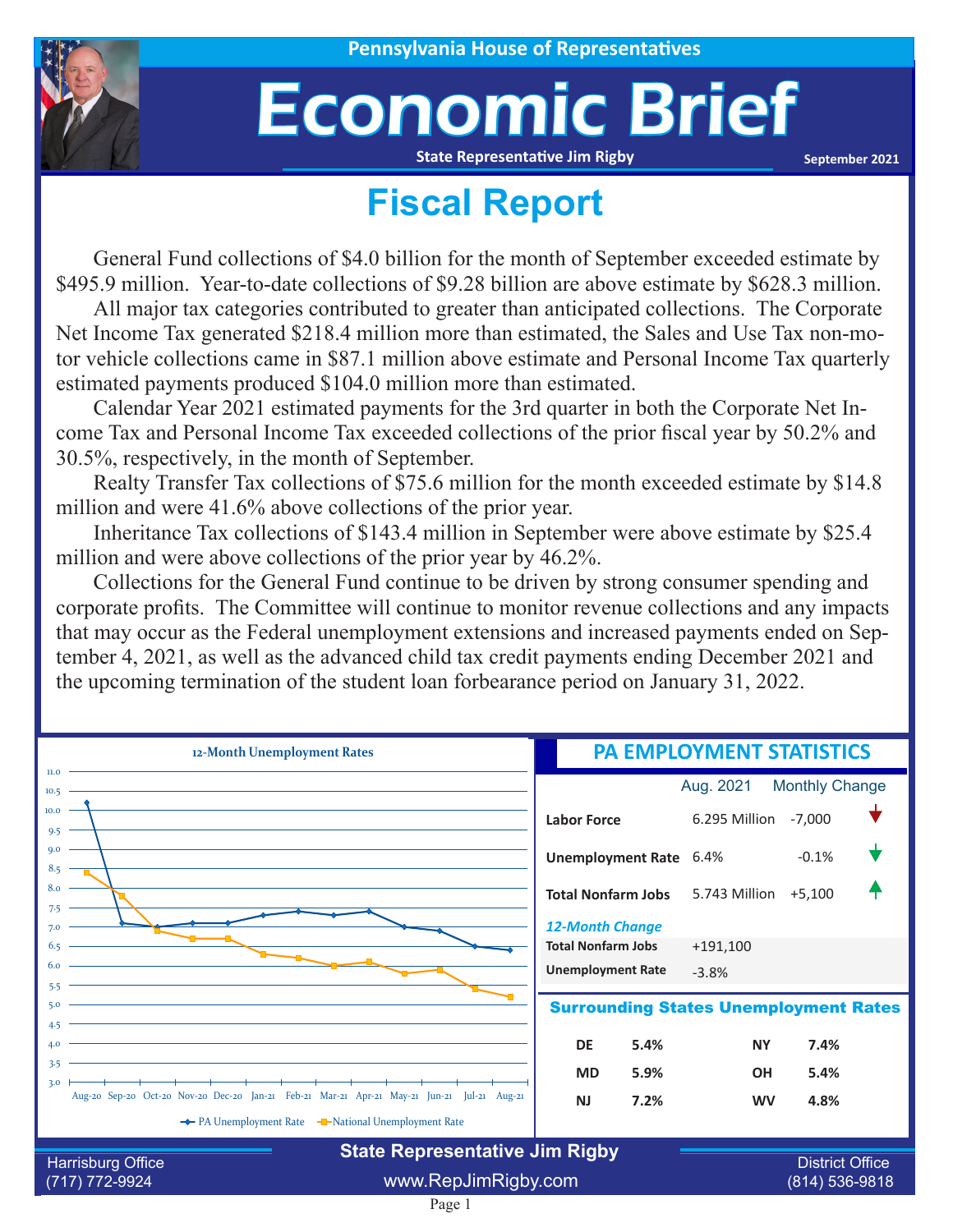

## Economic Brief

**State Representative Jim Rigby**

**September 2021**

## **Fiscal Report**

General Fund collections of \$4.0 billion for the month of September exceeded estimate by \$495.9 million. Year-to-date collections of \$9.28 billion are above estimate by \$628.3 million.

All major tax categories contributed to greater than anticipated collections. The Corporate Net Income Tax generated \$218.4 million more than estimated, the Sales and Use Tax non-motor vehicle collections came in \$87.1 million above estimate and Personal Income Tax quarterly estimated payments produced \$104.0 million more than estimated.

Calendar Year 2021 estimated payments for the 3rd quarter in both the Corporate Net Income Tax and Personal Income Tax exceeded collections of the prior fiscal year by 50.2% and 30.5%, respectively, in the month of September.

Realty Transfer Tax collections of \$75.6 million for the month exceeded estimate by \$14.8 million and were 41.6% above collections of the prior year.

Inheritance Tax collections of \$143.4 million in September were above estimate by \$25.4 million and were above collections of the prior year by 46.2%.

Collections for the General Fund continue to be driven by strong consumer spending and corporate profits. The Committee will continue to monitor revenue collections and any impacts that may occur as the Federal unemployment extensions and increased payments ended on September 4, 2021, as well as the advanced child tax credit payments ending December 2021 and the upcoming termination of the student loan forbearance period on January 31, 2022.